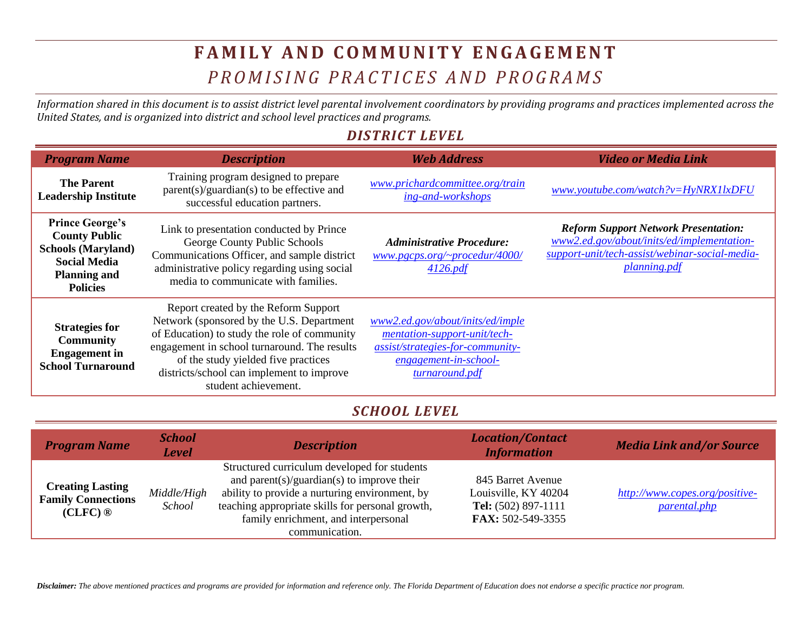## **F A M I L Y A N D C O M M U N I T Y E N G A G E M E N T** *P R O M I S I N G P R A C T I C E S A N D P R O G R A M S*

*Information shared in this document is to assist district level parental involvement coordinators by providing programs and practices implemented across the United States, and is organized into district and school level practices and programs.* 

## *DISTRICT LEVEL*

| <b>Program Name</b>                                                                                                                          | <b>Description</b>                                                                                                                                                                                                                                                                            | <b>Web Address</b>                                                                                                                              | <b>Video or Media Link</b>                                                                                                                                         |
|----------------------------------------------------------------------------------------------------------------------------------------------|-----------------------------------------------------------------------------------------------------------------------------------------------------------------------------------------------------------------------------------------------------------------------------------------------|-------------------------------------------------------------------------------------------------------------------------------------------------|--------------------------------------------------------------------------------------------------------------------------------------------------------------------|
| <b>The Parent</b><br><b>Leadership Institute</b>                                                                                             | Training program designed to prepare<br>$parent(s)/quantian(s)$ to be effective and<br>successful education partners.                                                                                                                                                                         | www.prichardcommittee.org/train<br>ing-and-workshops                                                                                            | www.youtube.com/watch?v=HyNRX1lxDFU                                                                                                                                |
| <b>Prince George's</b><br><b>County Public</b><br><b>Schools (Maryland)</b><br><b>Social Media</b><br><b>Planning and</b><br><b>Policies</b> | Link to presentation conducted by Prince<br>George County Public Schools<br>Communications Officer, and sample district<br>administrative policy regarding using social<br>media to communicate with families.                                                                                | <b>Administrative Procedure:</b><br>www.pgcps.org/~procedur/4000/<br>4126.pdf                                                                   | <b>Reform Support Network Presentation:</b><br>www2.ed.gov/about/inits/ed/implementation-<br>support-unit/tech-assist/webinar-social-media-<br><i>planning.pdf</i> |
| <b>Strategies for</b><br><b>Community</b><br><b>Engagement</b> in<br><b>School Turnaround</b>                                                | Report created by the Reform Support<br>Network (sponsored by the U.S. Department<br>of Education) to study the role of community<br>engagement in school turnaround. The results<br>of the study yielded five practices<br>districts/school can implement to improve<br>student achievement. | www2.ed.gov/about/inits/ed/imple<br>mentation-support-unit/tech-<br>assist/strategies-for-community-<br>engagement-in-school-<br>turnaround.pdf |                                                                                                                                                                    |

## *SCHOOL LEVEL*

| <b>Program Name</b>                                            | <b>School</b><br>Level | <b>Description</b>                                                                                                                                                                                                                                         | <b>Location/Contact</b><br><b>Information</b>                                         | <b>Media Link and/or Source</b>                       |
|----------------------------------------------------------------|------------------------|------------------------------------------------------------------------------------------------------------------------------------------------------------------------------------------------------------------------------------------------------------|---------------------------------------------------------------------------------------|-------------------------------------------------------|
| <b>Creating Lasting</b><br><b>Family Connections</b><br>(CLFC) | Middle/High<br>School  | Structured curriculum developed for students<br>and parent(s)/guardian(s) to improve their<br>ability to provide a nurturing environment, by<br>teaching appropriate skills for personal growth,<br>family enrichment, and interpersonal<br>communication. | 845 Barret Avenue<br>Louisville, KY 40204<br>Tel: (502) 897-1111<br>FAX: 502-549-3355 | http://www.copes.org/positive-<br><i>parental.php</i> |

*Disclaimer: The above mentioned practices and programs are provided for information and reference only. The Florida Department of Education does not endorse a specific practice nor program.*